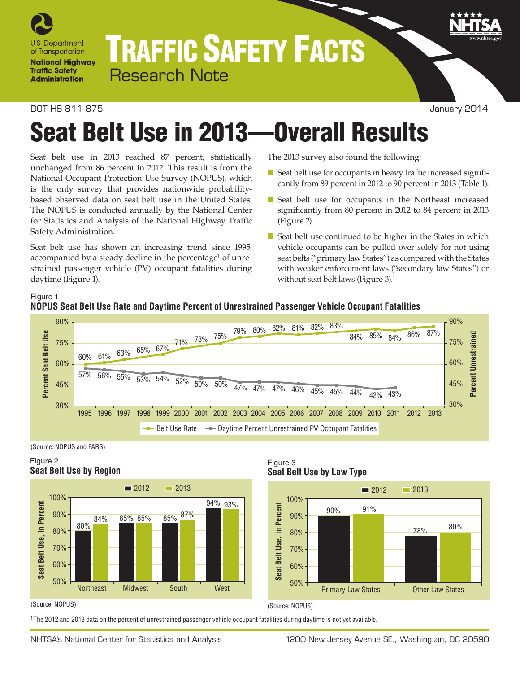

## TRAFFIC SAFETY FACTS Research Note

#### DOT HS 811 875 January 2014

# Seat Belt Use in 2013—Overall Results

Seat belt use in 2013 reached 87 percent, statistically unchanged from 86 percent in 2012. This result is from the National Occupant Protection Use Survey (NOPUS), which is the only survey that provides nationwide probabilitybased observed data on seat belt use in the United States. The NOPUS is conducted annually by the National Center for Statistics and Analysis of the National Highway Traffic Safety Administration.

Seat belt use has shown an increasing trend since 1995, accompanied by a steady decline in the percentage<sup>1</sup> of unrestrained passenger vehicle (PV) occupant fatalities during daytime (Figure 1).

The 2013 survey also found the following:

- Seat belt use for occupants in heavy traffic increased significantly from 89 percent in 2012 to 90 percent in 2013 (Table 1).
- Seat belt use for occupants in the Northeast increased significantly from 80 percent in 2012 to 84 percent in 2013 (Figure 2).
- Seat belt use continued to be higher in the States in which vehicle occupants can be pulled over solely for not using seat belts ("primary law States") as compared with the States with weaker enforcement laws ("secondary law States") or without seat belt laws (Figure 3).





(Source: NOPUS and FARS)

### Figure 2 **Seat Belt Use by Region**



Figure 3 **Seat Belt Use by Law Type**



#### (Source: NOPUS)

1The 2012 and 2013 data on the percent of unrestrained passenger vehicle occupant fatalities during daytime is not yet available.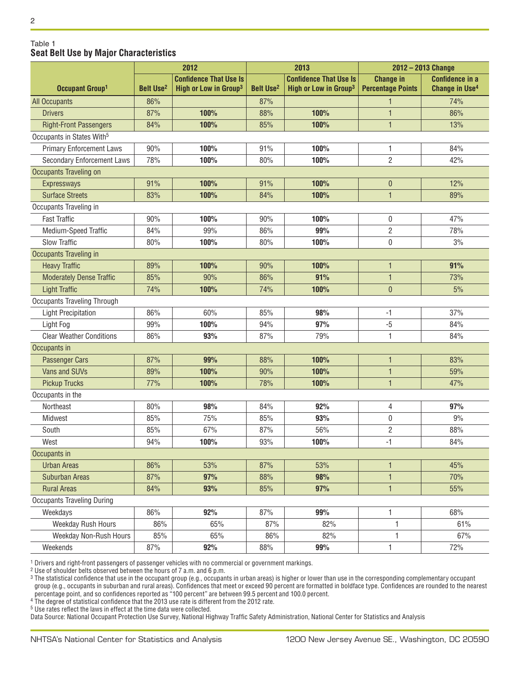#### Table 1 **Seat Belt Use by Major Characteristics**

|                                       |                             | 2012                              | 2013                        |                                   | 2012 - 2013 Change       |                                  |
|---------------------------------------|-----------------------------|-----------------------------------|-----------------------------|-----------------------------------|--------------------------|----------------------------------|
|                                       |                             | <b>Confidence That Use Is</b>     |                             | <b>Confidence That Use Is</b>     | <b>Change in</b>         | <b>Confidence in a</b>           |
| Occupant Group <sup>1</sup>           | <b>Belt Use<sup>2</sup></b> | High or Low in Group <sup>3</sup> | <b>Belt Use<sup>2</sup></b> | High or Low in Group <sup>3</sup> | <b>Percentage Points</b> | <b>Change in Use<sup>4</sup></b> |
| <b>All Occupants</b>                  | 86%                         |                                   | 87%                         |                                   | $\mathbf{1}$             | 74%                              |
| <b>Drivers</b>                        | 87%                         | 100%                              | 88%                         | 100%                              | 1                        | 86%                              |
| <b>Right-Front Passengers</b>         | 84%                         | 100%                              | 85%                         | 100%                              | $\mathbf{1}$             | 13%                              |
| Occupants in States With <sup>5</sup> |                             |                                   |                             |                                   |                          |                                  |
| <b>Primary Enforcement Laws</b>       | 90%                         | 100%                              | 91%                         | 100%                              | 1                        | 84%                              |
| <b>Secondary Enforcement Laws</b>     | 78%                         | 100%                              | 80%                         | 100%                              | $\overline{2}$           | 42%                              |
| <b>Occupants Traveling on</b>         |                             |                                   |                             |                                   |                          |                                  |
| <b>Expressways</b>                    | 91%                         | 100%                              | 91%                         | 100%                              | $\theta$                 | 12%                              |
| <b>Surface Streets</b>                | 83%                         | 100%                              | 84%                         | 100%                              | 1                        | 89%                              |
| Occupants Traveling in                |                             |                                   |                             |                                   |                          |                                  |
| <b>Fast Traffic</b>                   | 90%                         | 100%                              | 90%                         | 100%                              | 0                        | 47%                              |
| Medium-Speed Traffic                  | 84%                         | 99%                               | 86%                         | 99%                               | $\sqrt{2}$               | 78%                              |
| <b>Slow Traffic</b>                   | 80%                         | 100%                              | 80%                         | 100%                              | $\mathbf 0$              | 3%                               |
| Occupants Traveling in                |                             |                                   |                             |                                   |                          |                                  |
| <b>Heavy Traffic</b>                  | 89%                         | 100%                              | 90%                         | 100%                              | 1                        | 91%                              |
| <b>Moderately Dense Traffic</b>       | 85%                         | 90%                               | 86%                         | 91%                               | 1                        | 73%                              |
| <b>Light Traffic</b>                  | 74%                         | 100%                              | 74%                         | 100%                              | $\mathbf{0}$             | 5%                               |
| <b>Occupants Traveling Through</b>    |                             |                                   |                             |                                   |                          |                                  |
| <b>Light Precipitation</b>            | 86%                         | 60%                               | 85%                         | 98%                               | $-1$                     | 37%                              |
| Light Fog                             | 99%                         | 100%                              | 94%                         | 97%                               | $-5$                     | 84%                              |
| <b>Clear Weather Conditions</b>       | 86%                         | 93%                               | 87%                         | 79%                               | 1                        | 84%                              |
| Occupants in                          |                             |                                   |                             |                                   |                          |                                  |
| <b>Passenger Cars</b>                 | 87%                         | 99%                               | 88%                         | 100%                              | 1                        | 83%                              |
| Vans and SUVs                         | 89%                         | 100%                              | 90%                         | 100%                              | 1                        | 59%                              |
| <b>Pickup Trucks</b>                  | 77%                         | 100%                              | 78%                         | 100%                              | $\mathbf{1}$             | 47%                              |
| Occupants in the                      |                             |                                   |                             |                                   |                          |                                  |
| Northeast                             | 80%                         | 98%                               | 84%                         | 92%                               | 4                        | 97%                              |
| Midwest                               | 85%                         | 75%                               | 85%                         | 93%                               | $\mathbf 0$              | 9%                               |
| South                                 | 85%                         | 67%                               | 87%                         | 56%                               | $\overline{2}$           | 88%                              |
| West                                  | 94%                         | 100%                              | 93%                         | 100%                              | -1                       | 84%                              |
| Occupants in                          |                             |                                   |                             |                                   |                          |                                  |
| <b>Urban Areas</b>                    | 86%                         | 53%                               | 87%                         | 53%                               | 1                        | 45%                              |
| <b>Suburban Areas</b>                 | 87%                         | 97%                               | 88%                         | 98%                               | 1                        | 70%                              |
| <b>Rural Areas</b>                    | 84%                         | 93%                               | 85%                         | 97%                               | $\mathbf{1}$             | 55%                              |
| <b>Occupants Traveling During</b>     |                             |                                   |                             |                                   |                          |                                  |
| Weekdays                              | 86%                         | 92%                               | 87%                         | 99%                               | 1                        | 68%                              |
| Weekday Rush Hours                    | 86%                         | 65%                               | 87%                         | 82%                               | 1                        | 61%                              |
| Weekday Non-Rush Hours                | 85%                         | 65%                               | 86%                         | 82%                               | 1                        | 67%                              |
| Weekends                              | 87%                         | 92%                               | 88%                         | 99%                               | 1                        | 72%                              |

 $^{\rm 1}$  Drivers and right-front passengers of passenger vehicles with no commercial or government markings.

2 Use of shoulder belts observed between the hours of 7 a.m. and 6 p.m.

 $^3$  The statistical confidence that use in the occupant group (e.g., occupants in urban areas) is higher or lower than use in the corresponding complementary occupant group (e.g., occupants in suburban and rural areas). Confidences that meet or exceed 90 percent are formatted in boldface type. Confidences are rounded to the nearest percentage point, and so confidences reported as "100 percent" are between 99.5 percent and 100.0 percent.

4 The degree of statistical confidence that the 2013 use rate is different from the 2012 rate.

5 Use rates reflect the laws in effect at the time data were collected.

Data Source: National Occupant Protection Use Survey, National Highway Traffic Safety Administration, National Center for Statistics and Analysis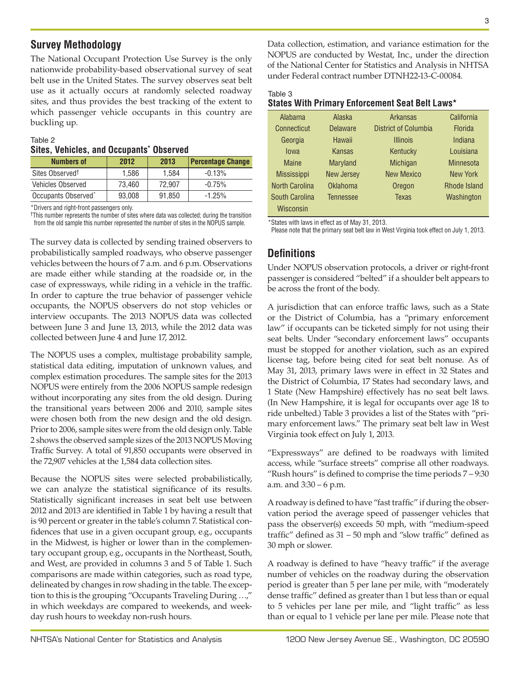## **Survey Methodology**

The National Occupant Protection Use Survey is the only nationwide probability-based observational survey of seat belt use in the United States. The survey observes seat belt use as it actually occurs at randomly selected roadway sites, and thus provides the best tracking of the extent to which passenger vehicle occupants in this country are buckling up.

#### Table 2 **Sites, Vehicles, and Occupants\* Observed**

| <b>Numbers of</b>               | 2012   | 2013   | <b>Percentage Change</b> |
|---------------------------------|--------|--------|--------------------------|
| Sites Observed <sup>+</sup>     | 1.586  | 1.584  | $-0.13%$                 |
| <b>Vehicles Observed</b>        | 73.460 | 72.907 | $-0.75%$                 |
| Occupants Observed <sup>*</sup> | 93,008 | 91,850 | $-1.25%$                 |

\*Drivers and right-front passengers only.

†This number represents the number of sites where data was collected; during the transition from the old sample this number represented the number of sites in the NOPUS sample.

The survey data is collected by sending trained observers to probabilistically sampled roadways, who observe passenger vehicles between the hours of 7 a.m. and 6 p.m. Observations are made either while standing at the roadside or, in the case of expressways, while riding in a vehicle in the traffic. In order to capture the true behavior of passenger vehicle occupants, the NOPUS observers do not stop vehicles or interview occupants. The 2013 NOPUS data was collected between June 3 and June 13, 2013, while the 2012 data was collected between June 4 and June 17, 2012.

The NOPUS uses a complex, multistage probability sample, statistical data editing, imputation of unknown values, and complex estimation procedures. The sample sites for the 2013 NOPUS were entirely from the 2006 NOPUS sample redesign without incorporating any sites from the old design. During the transitional years between 2006 and 2010, sample sites were chosen both from the new design and the old design. Prior to 2006, sample sites were from the old design only. Table 2 shows the observed sample sizes of the 2013 NOPUS Moving Traffic Survey. A total of 91,850 occupants were observed in the 72,907 vehicles at the 1,584 data collection sites.

Because the NOPUS sites were selected probabilistically, we can analyze the statistical significance of its results. Statistically significant increases in seat belt use between 2012 and 2013 are identified in Table 1 by having a result that is 90 percent or greater in the table's column 7. Statistical confidences that use in a given occupant group, e.g., occupants in the Midwest, is higher or lower than in the complementary occupant group, e.g., occupants in the Northeast, South, and West, are provided in columns 3 and 5 of Table 1. Such comparisons are made within categories, such as road type, delineated by changes in row shading in the table. The exception to this is the grouping "Occupants Traveling During …," in which weekdays are compared to weekends, and weekday rush hours to weekday non-rush hours.

Data collection, estimation, and variance estimation for the NOPUS are conducted by Westat, Inc., under the direction of the National Center for Statistics and Analysis in NHTSA under Federal contract number DTNH22-13-C-00084.

| Table 3        |               |                                                 |        |
|----------------|---------------|-------------------------------------------------|--------|
|                |               | States With Primary Enforcement Seat Belt Laws* |        |
| <b>Alahama</b> | <b>Alaska</b> | <b>Arkaneae</b>                                 | Calife |

| <b>Alabama</b>     | Alaska            | <b>Arkansas</b>      | California          |
|--------------------|-------------------|----------------------|---------------------|
| Connecticut        | <b>Delaware</b>   | District of Columbia | <b>Florida</b>      |
| Georgia            | Hawaii            | <b>Illinois</b>      | Indiana             |
| lowa               | Kansas            | Kentucky             | Louisiana           |
| <b>Maine</b>       | <b>Maryland</b>   | Michigan             | <b>Minnesota</b>    |
| <b>Mississippi</b> | <b>New Jersey</b> | <b>New Mexico</b>    | New York            |
| North Carolina     | Oklahoma          | Oregon               | <b>Rhode Island</b> |
| South Carolina     | <b>Tennessee</b>  | <b>Texas</b>         | Washington          |
| Wisconsin          |                   |                      |                     |

\*States with laws in effect as of May 31, 2013.

Please note that the primary seat belt law in West Virginia took effect on July 1, 2013.

## **Definitions**

Under NOPUS observation protocols, a driver or right-front passenger is considered "belted" if a shoulder belt appears to be across the front of the body.

A jurisdiction that can enforce traffic laws, such as a State or the District of Columbia, has a "primary enforcement law" if occupants can be ticketed simply for not using their seat belts. Under "secondary enforcement laws" occupants must be stopped for another violation, such as an expired license tag, before being cited for seat belt nonuse. As of May 31, 2013, primary laws were in effect in 32 States and the District of Columbia, 17 States had secondary laws, and 1 State (New Hampshire) effectively has no seat belt laws. (In New Hampshire, it is legal for occupants over age 18 to ride unbelted.) Table 3 provides a list of the States with "primary enforcement laws." The primary seat belt law in West Virginia took effect on July 1, 2013.

"Expressways" are defined to be roadways with limited access, while "surface streets" comprise all other roadways. "Rush hours" is defined to comprise the time periods 7 – 9:30 a.m. and 3:30 – 6 p.m.

A roadway is defined to have "fast traffic" if during the observation period the average speed of passenger vehicles that pass the observer(s) exceeds 50 mph, with "medium-speed traffic" defined as 31 – 50 mph and "slow traffic" defined as 30 mph or slower.

A roadway is defined to have "heavy traffic" if the average number of vehicles on the roadway during the observation period is greater than 5 per lane per mile, with "moderately dense traffic" defined as greater than 1 but less than or equal to 5 vehicles per lane per mile, and "light traffic" as less than or equal to 1 vehicle per lane per mile. Please note that